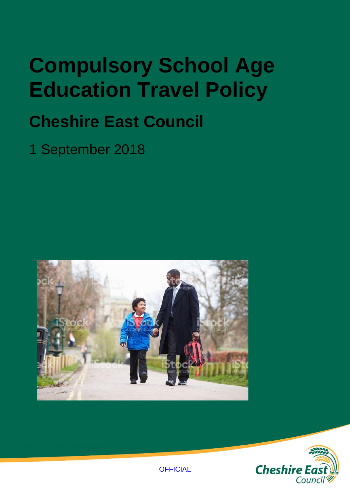## **Compulsory School Age Education Travel Policy**

## **Cheshire East Council**

1 September 2018



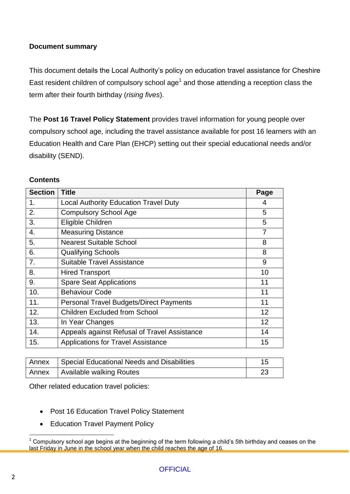#### **Document summary**

This document details the Local Authority's policy on education travel assistance for Cheshire East resident children of compulsory school age<sup>1</sup> and those attending a reception class the term after their fourth birthday (*rising fives*).

The **Post 16 Travel Policy Statement** provides travel information for young people over compulsory school age, including the travel assistance available for post 16 learners with an Education Health and Care Plan (EHCP) setting out their special educational needs and/or disability (SEND).

#### **Contents**

| <b>Section</b>   | <b>Title</b>                                   | Page           |
|------------------|------------------------------------------------|----------------|
| 1.               | <b>Local Authority Education Travel Duty</b>   | 4              |
| 2.               | <b>Compulsory School Age</b>                   | 5              |
| 3.               | Eligible Children                              | 5              |
| $\overline{4}$ . | <b>Measuring Distance</b>                      | $\overline{7}$ |
| 5.               | <b>Nearest Suitable School</b>                 | 8              |
| 6.               | <b>Qualifying Schools</b>                      | 8              |
| 7.               | <b>Suitable Travel Assistance</b>              | 9              |
| 8.               | <b>Hired Transport</b>                         | 10             |
| 9.               | <b>Spare Seat Applications</b>                 | 11             |
| 10.              | <b>Behaviour Code</b>                          | 11             |
| 11.              | <b>Personal Travel Budgets/Direct Payments</b> | 11             |
| 12.              | <b>Children Excluded from School</b>           | 12             |
| 13.              | In Year Changes                                | 12             |
| 14.              | Appeals against Refusal of Travel Assistance   | 14             |
| 15.              | <b>Applications for Travel Assistance</b>      | 15             |

| Annex Special Educational Needs and Disabilities |    |
|--------------------------------------------------|----|
| Annex   Available walking Routes                 | 20 |

Other related education travel policies:

- Post 16 Education Travel Policy Statement
- Education Travel Payment Policy

 $\overline{a}$  $1$  Compulsory school age begins at the beginning of the term following a child's 5th birthday and ceases on the last Friday in June in the school year when the child reaches the age of 16.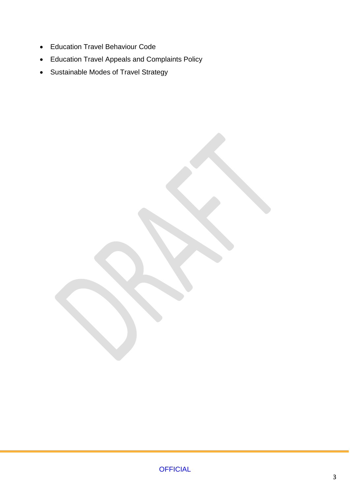- Education Travel Behaviour Code
- Education Travel Appeals and Complaints Policy
- Sustainable Modes of Travel Strategy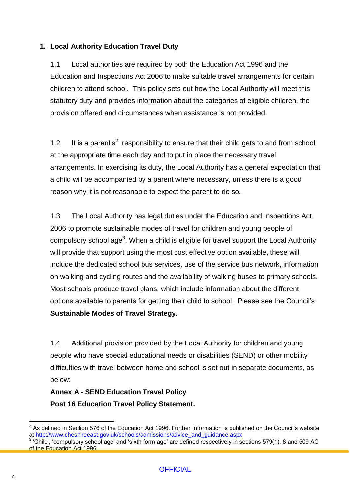#### **1. Local Authority Education Travel Duty**

1.1 Local authorities are required by both the Education Act 1996 and the Education and Inspections Act 2006 to make suitable travel arrangements for certain children to attend school. This policy sets out how the Local Authority will meet this statutory duty and provides information about the categories of eligible children, the provision offered and circumstances when assistance is not provided.

1.2 It is a parent's<sup>2</sup> responsibility to ensure that their child gets to and from school at the appropriate time each day and to put in place the necessary travel arrangements. In exercising its duty, the Local Authority has a general expectation that a child will be accompanied by a parent where necessary, unless there is a good reason why it is not reasonable to expect the parent to do so.

1.3 The Local Authority has legal duties under the Education and Inspections Act 2006 to promote sustainable modes of travel for children and young people of compulsory school age<sup>3</sup>. When a child is eligible for travel support the Local Authority will provide that support using the most cost effective option available, these will include the dedicated school bus services, use of the service bus network, information on walking and cycling routes and the availability of walking buses to primary schools. Most schools produce travel plans, which include information about the different options available to parents for getting their child to school. Please see the Council's **Sustainable Modes of Travel Strategy.**

1.4 Additional provision provided by the Local Authority for children and young people who have special educational needs or disabilities (SEND) or other mobility difficulties with travel between home and school is set out in separate documents, as below:

### **Annex A - SEND Education Travel Policy Post 16 Education Travel Policy Statement.**

 $\overline{a}$ 2 As defined in Section 576 of the Education Act 1996. Further Information is published on the Council's website at [http://www.cheshireeast.gov.uk/schools/admissions/advice\\_and\\_guidance.aspx](http://www.cheshireeast.gov.uk/schools/admissions/advice_and_guidance.aspx)

<sup>3</sup> 'Child', 'compulsory school age' and 'sixth-form age' are defined respectively in sections 579(1), 8 and 509 AC of the Education Act 1996.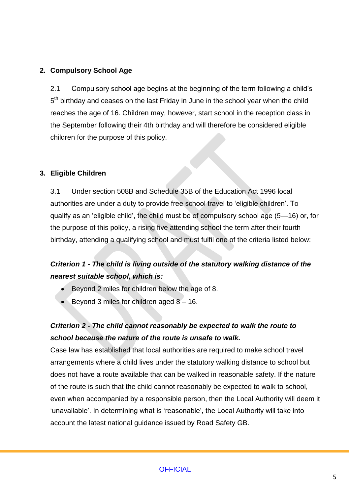#### **2. Compulsory School Age**

2.1 Compulsory school age begins at the beginning of the term following a child's 5<sup>th</sup> birthday and ceases on the last Friday in June in the school year when the child reaches the age of 16. Children may, however, start school in the reception class in the September following their 4th birthday and will therefore be considered eligible children for the purpose of this policy.

#### **3. Eligible Children**

3.1 Under section 508B and Schedule 35B of the Education Act 1996 local authorities are under a duty to provide free school travel to 'eligible children'. To qualify as an 'eligible child', the child must be of compulsory school age (5—16) or, for the purpose of this policy, a rising five attending school the term after their fourth birthday, attending a qualifying school and must fulfil one of the criteria listed below:

### *Criterion 1 - The child is living outside of the statutory walking distance of the nearest suitable school, which is:*

- Beyond 2 miles for children below the age of 8.
- Beyond 3 miles for children aged 8 16.

### *Criterion 2 - The child cannot reasonably be expected to walk the route to school because the nature of the route is unsafe to walk.*

Case law has established that local authorities are required to make school travel arrangements where a child lives under the statutory walking distance to school but does not have a route available that can be walked in reasonable safety. If the nature of the route is such that the child cannot reasonably be expected to walk to school, even when accompanied by a responsible person, then the Local Authority will deem it 'unavailable'. In determining what is 'reasonable', the Local Authority will take into account the latest national guidance issued by Road Safety GB.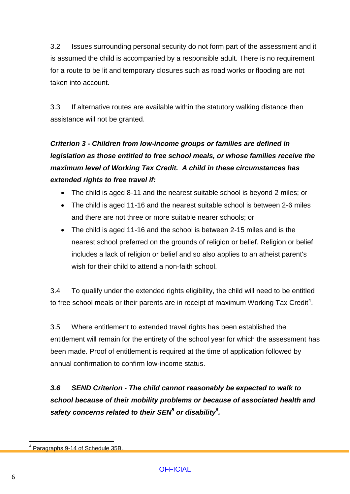3.2 Issues surrounding personal security do not form part of the assessment and it is assumed the child is accompanied by a responsible adult. There is no requirement for a route to be lit and temporary closures such as road works or flooding are not taken into account.

3.3 If alternative routes are available within the statutory walking distance then assistance will not be granted.

### *Criterion 3 - Children from low-income groups or families are defined in legislation as those entitled to free school meals, or whose families receive the maximum level of Working Tax Credit. A child in these circumstances has extended rights to free travel if:*

- The child is aged 8-11 and the nearest suitable school is beyond 2 miles; or
- The child is aged 11-16 and the nearest suitable school is between 2-6 miles and there are not three or more suitable nearer schools; or
- The child is aged 11-16 and the school is between 2-15 miles and is the nearest school preferred on the grounds of religion or belief. Religion or belief includes a lack of religion or belief and so also applies to an atheist parent's wish for their child to attend a non-faith school.

3.4 To qualify under the extended rights eligibility, the child will need to be entitled to free school meals or their parents are in receipt of maximum Working Tax Credit $^4$ .

3.5 Where entitlement to extended travel rights has been established the entitlement will remain for the entirety of the school year for which the assessment has been made. Proof of entitlement is required at the time of application followed by annual confirmation to confirm low-income status.

*3.6 SEND Criterion - The child cannot reasonably be expected to walk to school because of their mobility problems or because of associated health and safety concerns related to their SEN<sup>5</sup> or disability<sup>6</sup> .* 

 4 Paragraphs 9-14 of Schedule 35B.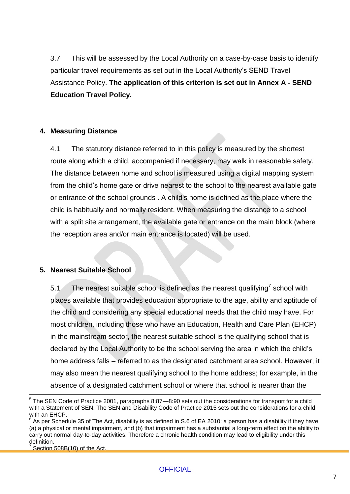3.7 This will be assessed by the Local Authority on a case-by-case basis to identify particular travel requirements as set out in the Local Authority's SEND Travel Assistance Policy. **The application of this criterion is set out in Annex A - SEND Education Travel Policy.**

#### **4. Measuring Distance**

4.1 The statutory distance referred to in this policy is measured by the shortest route along which a child, accompanied if necessary, may walk in reasonable safety. The distance between home and school is measured using a digital mapping system from the child's home gate or drive nearest to the school to the nearest available gate or entrance of the school grounds . A child's home is defined as the place where the child is habitually and normally resident. When measuring the distance to a school with a split site arrangement, the available gate or entrance on the main block (where the reception area and/or main entrance is located) will be used.

#### **5. Nearest Suitable School**

5.1 The nearest suitable school is defined as the nearest qualifying<sup>7</sup> school with places available that provides education appropriate to the age, ability and aptitude of the child and considering any special educational needs that the child may have. For most children, including those who have an Education, Health and Care Plan (EHCP) in the mainstream sector, the nearest suitable school is the qualifying school that is declared by the Local Authority to be the school serving the area in which the child's home address falls – referred to as the designated catchment area school. However, it may also mean the nearest qualifying school to the home address; for example, in the absence of a designated catchment school or where that school is nearer than the

Section 508B(10) of the Act.

 $\overline{a}$ 

 $5$  The SEN Code of Practice 2001, paragraphs 8:87—8:90 sets out the considerations for transport for a child with a Statement of SEN. The SEN and Disability Code of Practice 2015 sets out the considerations for a child with an EHCP.

 $^6$  As per Schedule 35 of The Act, disability is as defined in S.6 of EA 2010: a person has a disability if they have (a) a physical or mental impairment, and (b) that impairment has a substantial a long-term effect on the ability to carry out normal day-to-day activities. Therefore a chronic health condition may lead to eligibility under this definition. 7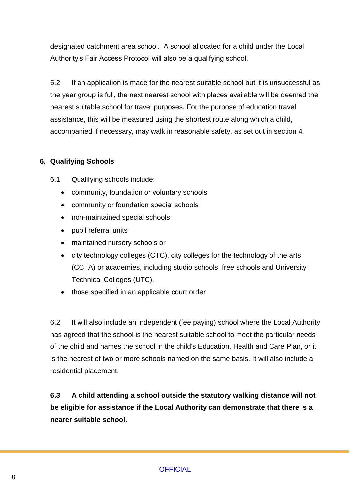designated catchment area school. A school allocated for a child under the Local Authority's Fair Access Protocol will also be a qualifying school.

5.2 If an application is made for the nearest suitable school but it is unsuccessful as the year group is full, the next nearest school with places available will be deemed the nearest suitable school for travel purposes. For the purpose of education travel assistance, this will be measured using the shortest route along which a child, accompanied if necessary, may walk in reasonable safety, as set out in section 4.

#### **6. Qualifying Schools**

- 6.1 Qualifying schools include:
	- community, foundation or voluntary schools
	- community or foundation special schools
	- non-maintained special schools
	- pupil referral units
	- maintained nursery schools or
	- city technology colleges (CTC), city colleges for the technology of the arts (CCTA) or academies, including studio schools, free schools and University Technical Colleges (UTC).
	- those specified in an applicable court order

6.2 It will also include an independent (fee paying) school where the Local Authority has agreed that the school is the nearest suitable school to meet the particular needs of the child and names the school in the child's Education, Health and Care Plan, or it is the nearest of two or more schools named on the same basis. It will also include a residential placement.

**6.3 A child attending a school outside the statutory walking distance will not be eligible for assistance if the Local Authority can demonstrate that there is a nearer suitable school.**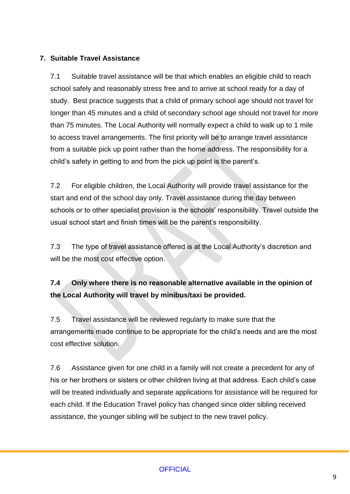#### **7. Suitable Travel Assistance**

7.1 Suitable travel assistance will be that which enables an eligible child to reach school safely and reasonably stress free and to arrive at school ready for a day of study. Best practice suggests that a child of primary school age should not travel for longer than 45 minutes and a child of secondary school age should not travel for more than 75 minutes. The Local Authority will normally expect a child to walk up to 1 mile to access travel arrangements. The first priority will be to arrange travel assistance from a suitable pick up point rather than the home address. The responsibility for a child's safety in getting to and from the pick up point is the parent's.

7.2 For eligible children, the Local Authority will provide travel assistance for the start and end of the school day only. Travel assistance during the day between schools or to other specialist provision is the schools' responsibility. Travel outside the usual school start and finish times will be the parent's responsibility.

7.3 The type of travel assistance offered is at the Local Authority's discretion and will be the most cost effective option.

### **7.4 Only where there is no reasonable alternative available in the opinion of the Local Authority will travel by minibus/taxi be provided.**

7.5 Travel assistance will be reviewed regularly to make sure that the arrangements made continue to be appropriate for the child's needs and are the most cost effective solution.

7.6 Assistance given for one child in a family will not create a precedent for any of his or her brothers or sisters or other children living at that address. Each child's case will be treated individually and separate applications for assistance will be required for each child. If the Education Travel policy has changed since older sibling received assistance, the younger sibling will be subject to the new travel policy.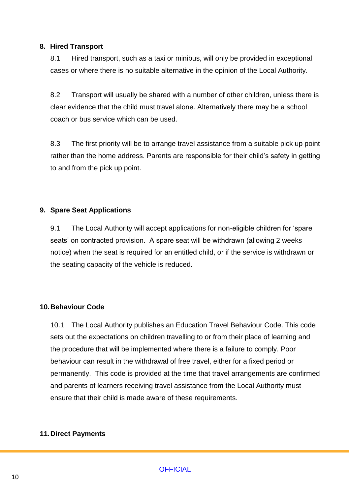#### **8. Hired Transport**

8.1 Hired transport, such as a taxi or minibus, will only be provided in exceptional cases or where there is no suitable alternative in the opinion of the Local Authority.

8.2 Transport will usually be shared with a number of other children, unless there is clear evidence that the child must travel alone. Alternatively there may be a school coach or bus service which can be used.

8.3 The first priority will be to arrange travel assistance from a suitable pick up point rather than the home address. Parents are responsible for their child's safety in getting to and from the pick up point.

#### **9. Spare Seat Applications**

9.1 The Local Authority will accept applications for non-eligible children for 'spare seats' on contracted provision. A spare seat will be withdrawn (allowing 2 weeks notice) when the seat is required for an entitled child, or if the service is withdrawn or the seating capacity of the vehicle is reduced.

#### **10.Behaviour Code**

10.1 The Local Authority publishes an Education Travel Behaviour Code. This code sets out the expectations on children travelling to or from their place of learning and the procedure that will be implemented where there is a failure to comply. Poor behaviour can result in the withdrawal of free travel, either for a fixed period or permanently. This code is provided at the time that travel arrangements are confirmed and parents of learners receiving travel assistance from the Local Authority must ensure that their child is made aware of these requirements.

#### **11.Direct Payments**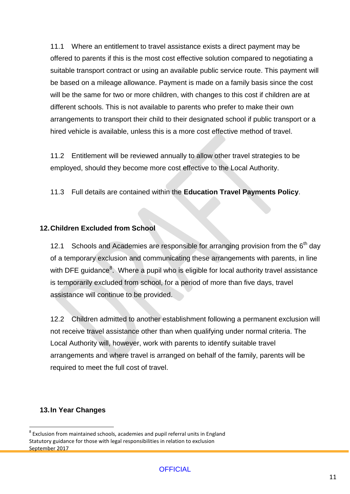11.1 Where an entitlement to travel assistance exists a direct payment may be offered to parents if this is the most cost effective solution compared to negotiating a suitable transport contract or using an available public service route. This payment will be based on a mileage allowance. Payment is made on a family basis since the cost will be the same for two or more children, with changes to this cost if children are at different schools. This is not available to parents who prefer to make their own arrangements to transport their child to their designated school if public transport or a hired vehicle is available, unless this is a more cost effective method of travel.

11.2 Entitlement will be reviewed annually to allow other travel strategies to be employed, should they become more cost effective to the Local Authority.

11.3 Full details are contained within the **Education Travel Payments Policy**.

#### **12.Children Excluded from School**

12.1 Schools and Academies are responsible for arranging provision from the  $6<sup>th</sup>$  day of a temporary exclusion and communicating these arrangements with parents, in line with DFE guidance<sup>8</sup>. Where a pupil who is eligible for local authority travel assistance is temporarily excluded from school, for a period of more than five days, travel assistance will continue to be provided.

12.2 Children admitted to another establishment following a permanent exclusion will not receive travel assistance other than when qualifying under normal criteria. The Local Authority will, however, work with parents to identify suitable travel arrangements and where travel is arranged on behalf of the family, parents will be required to meet the full cost of travel.

#### **13.In Year Changes**

 $\overline{a}$  $^8$  Exclusion from maintained schools, academies and pupil referral units in England Statutory guidance for those with legal responsibilities in relation to exclusion September 2017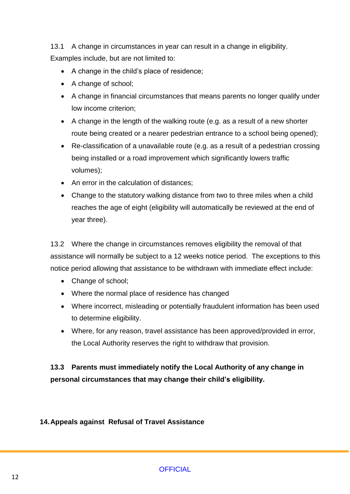13.1 A change in circumstances in year can result in a change in eligibility. Examples include, but are not limited to:

- A change in the child's place of residence;
- A change of school;
- A change in financial circumstances that means parents no longer qualify under low income criterion;
- A change in the length of the walking route (e.g. as a result of a new shorter route being created or a nearer pedestrian entrance to a school being opened);
- Re-classification of a unavailable route (e.g. as a result of a pedestrian crossing being installed or a road improvement which significantly lowers traffic volumes);
- An error in the calculation of distances;
- Change to the statutory walking distance from two to three miles when a child reaches the age of eight (eligibility will automatically be reviewed at the end of year three).

13.2 Where the change in circumstances removes eligibility the removal of that assistance will normally be subject to a 12 weeks notice period. The exceptions to this notice period allowing that assistance to be withdrawn with immediate effect include:

- Change of school;
- Where the normal place of residence has changed
- Where incorrect, misleading or potentially fraudulent information has been used to determine eligibility.
- Where, for any reason, travel assistance has been approved/provided in error, the Local Authority reserves the right to withdraw that provision.

**13.3 Parents must immediately notify the Local Authority of any change in personal circumstances that may change their child's eligibility.**

#### **14.Appeals against Refusal of Travel Assistance**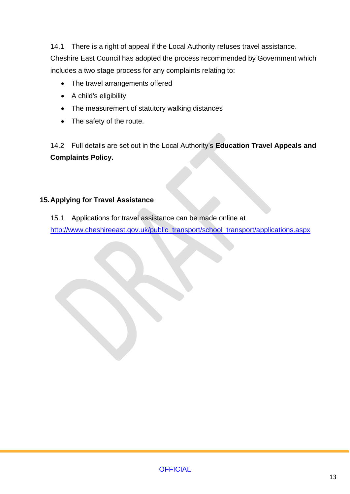14.1 There is a right of appeal if the Local Authority refuses travel assistance. Cheshire East Council has adopted the process recommended by Government which includes a two stage process for any complaints relating to:

- The travel arrangements offered
- A child's eligibility
- The measurement of statutory walking distances
- The safety of the route.

14.2 Full details are set out in the Local Authority's **Education Travel Appeals and Complaints Policy.**

#### **15.Applying for Travel Assistance**

15.1 Applications for travel assistance can be made online at [http://www.cheshireeast.gov.uk/public\\_transport/school\\_transport/applications.aspx](http://www.cheshireeast.gov.uk/public_transport/school_transport/applications.aspx)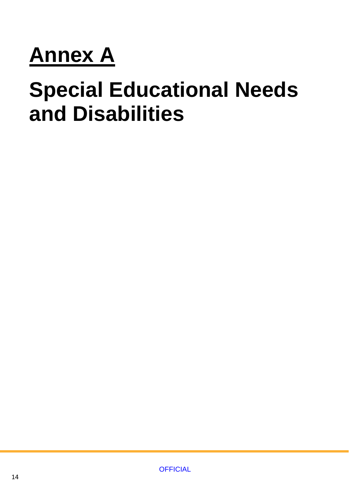# **Annex A**

## **Special Educational Needs and Disabilities**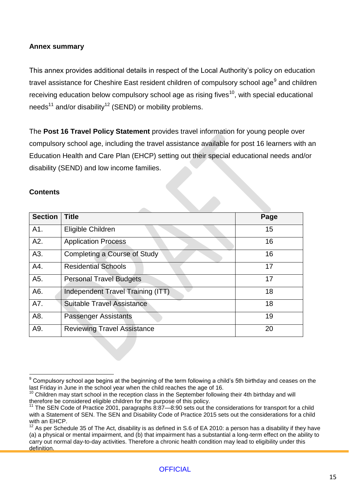#### **Annex summary**

This annex provides additional details in respect of the Local Authority's policy on education travel assistance for Cheshire East resident children of compulsory school age<sup>9</sup> and children receiving education below compulsory school age as rising fives<sup>10</sup>, with special educational needs<sup>11</sup> and/or disability<sup>12</sup> (SEND) or mobility problems.

The **Post 16 Travel Policy Statement** provides travel information for young people over compulsory school age, including the travel assistance available for post 16 learners with an Education Health and Care Plan (EHCP) setting out their special educational needs and/or disability (SEND) and low income families.

#### **Contents**

 $\overline{a}$ 

| <b>Section</b> | <b>Title</b>                       | Page |
|----------------|------------------------------------|------|
| A1.            | Eligible Children                  | 15   |
| A2.            | <b>Application Process</b>         | 16   |
| A3.            | Completing a Course of Study       | 16   |
| A4.            | <b>Residential Schools</b>         | 17   |
| A5.            | <b>Personal Travel Budgets</b>     | 17   |
| A6.            | Independent Travel Training (ITT)  | 18   |
| A7.            | <b>Suitable Travel Assistance</b>  | 18   |
| A8.            | <b>Passenger Assistants</b>        | 19   |
| A9.            | <b>Reviewing Travel Assistance</b> | 20   |

<sup>&</sup>lt;sup>9</sup> Compulsory school age begins at the beginning of the term following a child's 5th birthday and ceases on the last Friday in June in the school year when the child reaches the age of 16.

 $10$  Children may start school in the reception class in the September following their 4th birthday and will therefore be considered eligible children for the purpose of this policy.

The SEN Code of Practice 2001, paragraphs 8:87—8:90 sets out the considerations for transport for a child with a Statement of SEN. The SEN and Disability Code of Practice 2015 sets out the considerations for a child with an EHCP.

<sup>12</sup> As per Schedule 35 of The Act, disability is as defined in S.6 of EA 2010: a person has a disability if they have (a) a physical or mental impairment, and (b) that impairment has a substantial a long-term effect on the ability to carry out normal day-to-day activities. Therefore a chronic health condition may lead to eligibility under this definition.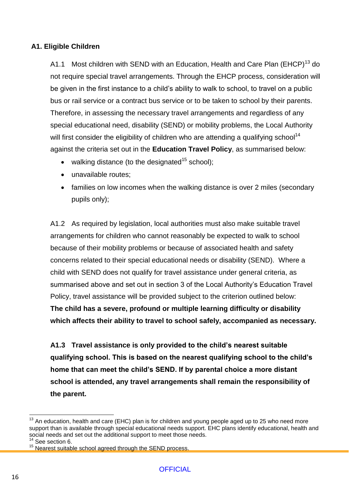#### **A1. Eligible Children**

A1.1 Most children with SEND with an Education, Health and Care Plan (EHCP)<sup>13</sup> do not require special travel arrangements. Through the EHCP process, consideration will be given in the first instance to a child's ability to walk to school, to travel on a public bus or rail service or a contract bus service or to be taken to school by their parents. Therefore, in assessing the necessary travel arrangements and regardless of any special educational need, disability (SEND) or mobility problems, the Local Authority will first consider the eligibility of children who are attending a qualifying school<sup>14</sup> against the criteria set out in the **Education Travel Policy**, as summarised below:

- walking distance (to the designated<sup>15</sup> school);
- unavailable routes:
- families on low incomes when the walking distance is over 2 miles (secondary pupils only);

A1.2 As required by legislation, local authorities must also make suitable travel arrangements for children who cannot reasonably be expected to walk to school because of their mobility problems or because of associated health and safety concerns related to their special educational needs or disability (SEND). Where a child with SEND does not qualify for travel assistance under general criteria, as summarised above and set out in section 3 of the Local Authority's Education Travel Policy, travel assistance will be provided subject to the criterion outlined below: **The child has a severe, profound or multiple learning difficulty or disability which affects their ability to travel to school safely, accompanied as necessary.** 

**A1.3 Travel assistance is only provided to the child's nearest suitable qualifying school. This is based on the nearest qualifying school to the child's home that can meet the child's SEND. If by parental choice a more distant school is attended, any travel arrangements shall remain the responsibility of the parent.**

 $\overline{a}$ 

 $13$  An education, health and care (EHC) plan is for children and young people aged up to 25 who need more support than is available through special educational needs support. EHC plans identify educational, health and social needs and set out the additional support to meet those needs.

<sup>&</sup>lt;sup>14</sup> See section 6.

<sup>&</sup>lt;sup>15</sup> Nearest suitable school agreed through the SEND process.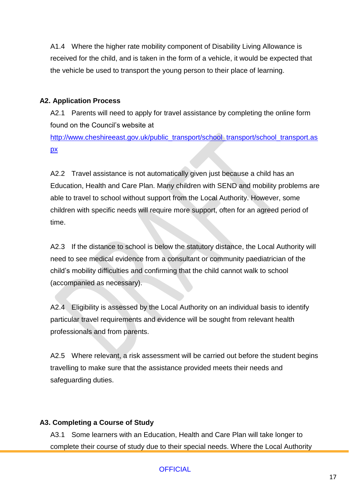A1.4 Where the higher rate mobility component of Disability Living Allowance is received for the child, and is taken in the form of a vehicle, it would be expected that the vehicle be used to transport the young person to their place of learning.

#### **A2. Application Process**

A2.1 Parents will need to apply for travel assistance by completing the online form found on the Council's website at

[http://www.cheshireeast.gov.uk/public\\_transport/school\\_transport/school\\_transport.as](http://www.cheshireeast.gov.uk/public_transport/school_transport/school_transport.aspx) [px](http://www.cheshireeast.gov.uk/public_transport/school_transport/school_transport.aspx)

A2.2 Travel assistance is not automatically given just because a child has an Education, Health and Care Plan. Many children with SEND and mobility problems are able to travel to school without support from the Local Authority. However, some children with specific needs will require more support, often for an agreed period of time.

A2.3 If the distance to school is below the statutory distance, the Local Authority will need to see medical evidence from a consultant or community paediatrician of the child's mobility difficulties and confirming that the child cannot walk to school (accompanied as necessary).

A2.4 Eligibility is assessed by the Local Authority on an individual basis to identify particular travel requirements and evidence will be sought from relevant health professionals and from parents.

A2.5 Where relevant, a risk assessment will be carried out before the student begins travelling to make sure that the assistance provided meets their needs and safeguarding duties.

#### **A3. Completing a Course of Study**

A3.1 Some learners with an Education, Health and Care Plan will take longer to complete their course of study due to their special needs. Where the Local Authority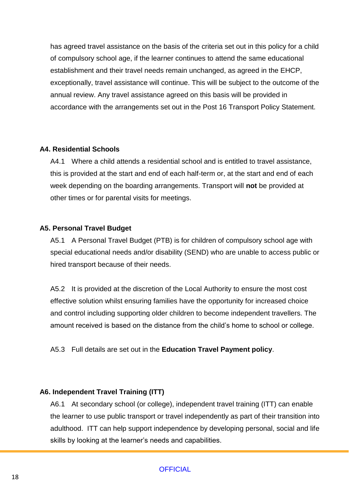has agreed travel assistance on the basis of the criteria set out in this policy for a child of compulsory school age, if the learner continues to attend the same educational establishment and their travel needs remain unchanged, as agreed in the EHCP, exceptionally, travel assistance will continue. This will be subject to the outcome of the annual review. Any travel assistance agreed on this basis will be provided in accordance with the arrangements set out in the Post 16 Transport Policy Statement.

#### **A4. Residential Schools**

A4.1 Where a child attends a residential school and is entitled to travel assistance, this is provided at the start and end of each half-term or, at the start and end of each week depending on the boarding arrangements. Transport will **not** be provided at other times or for parental visits for meetings.

#### **A5. Personal Travel Budget**

A5.1 A Personal Travel Budget (PTB) is for children of compulsory school age with special educational needs and/or disability (SEND) who are unable to access public or hired transport because of their needs.

A5.2 It is provided at the discretion of the Local Authority to ensure the most cost effective solution whilst ensuring families have the opportunity for increased choice and control including supporting older children to become independent travellers. The amount received is based on the distance from the child's home to school or college.

A5.3 Full details are set out in the **Education Travel Payment policy**.

#### **A6. Independent Travel Training (ITT)**

A6.1 At secondary school (or college), independent travel training (ITT) can enable the learner to use public transport or travel independently as part of their transition into adulthood. ITT can help support independence by developing personal, social and life skills by looking at the learner's needs and capabilities.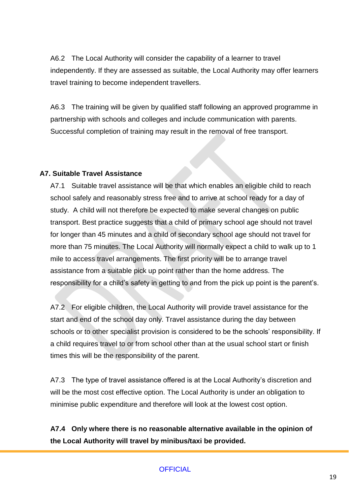A6.2 The Local Authority will consider the capability of a learner to travel independently. If they are assessed as suitable, the Local Authority may offer learners travel training to become independent travellers.

A6.3 The training will be given by qualified staff following an approved programme in partnership with schools and colleges and include communication with parents. Successful completion of training may result in the removal of free transport.

#### **A7. Suitable Travel Assistance**

A7.1 Suitable travel assistance will be that which enables an eligible child to reach school safely and reasonably stress free and to arrive at school ready for a day of study. A child will not therefore be expected to make several changes on public transport. Best practice suggests that a child of primary school age should not travel for longer than 45 minutes and a child of secondary school age should not travel for more than 75 minutes. The Local Authority will normally expect a child to walk up to 1 mile to access travel arrangements. The first priority will be to arrange travel assistance from a suitable pick up point rather than the home address. The responsibility for a child's safety in getting to and from the pick up point is the parent's.

A7.2 For eligible children, the Local Authority will provide travel assistance for the start and end of the school day only. Travel assistance during the day between schools or to other specialist provision is considered to be the schools' responsibility. If a child requires travel to or from school other than at the usual school start or finish times this will be the responsibility of the parent.

A7.3 The type of travel assistance offered is at the Local Authority's discretion and will be the most cost effective option. The Local Authority is under an obligation to minimise public expenditure and therefore will look at the lowest cost option.

**A7.4 Only where there is no reasonable alternative available in the opinion of the Local Authority will travel by minibus/taxi be provided.**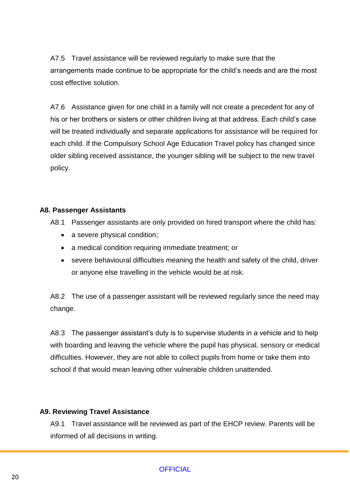A7.5 Travel assistance will be reviewed regularly to make sure that the arrangements made continue to be appropriate for the child's needs and are the most cost effective solution.

A7.6 Assistance given for one child in a family will not create a precedent for any of his or her brothers or sisters or other children living at that address. Each child's case will be treated individually and separate applications for assistance will be required for each child. If the Compulsory School Age Education Travel policy has changed since older sibling received assistance, the younger sibling will be subject to the new travel policy.

#### **A8. Passenger Assistants**

A8.1 Passenger assistants are only provided on hired transport where the child has:

- a severe physical condition;
- a medical condition requiring immediate treatment; or
- severe behavioural difficulties meaning the health and safety of the child, driver or anyone else travelling in the vehicle would be at risk.

A8.2 The use of a passenger assistant will be reviewed regularly since the need may change.

A8.3 The passenger assistant's duty is to supervise students in a vehicle and to help with boarding and leaving the vehicle where the pupil has physical, sensory or medical difficulties. However, they are not able to collect pupils from home or take them into school if that would mean leaving other vulnerable children unattended.

#### **A9. Reviewing Travel Assistance**

A9.1 Travel assistance will be reviewed as part of the EHCP review. Parents will be informed of all decisions in writing.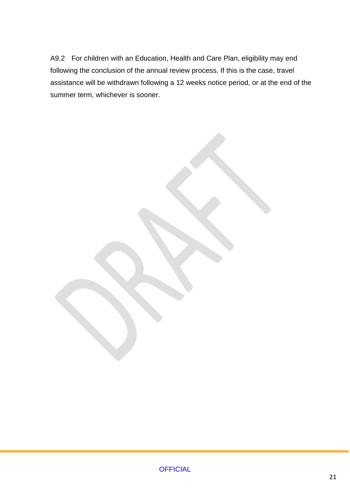A9.2 For children with an Education, Health and Care Plan, eligibility may end following the conclusion of the annual review process. If this is the case, travel assistance will be withdrawn following a 12 weeks notice period, or at the end of the summer term, whichever is sooner.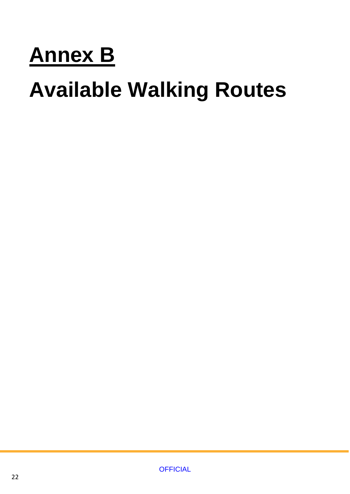# **Annex B**

# **Available Walking Routes**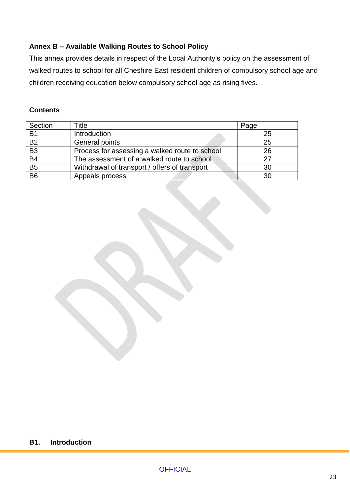#### **Annex B – Available Walking Routes to School Policy**

This annex provides details in respect of the Local Authority's policy on the assessment of walked routes to school for all Cheshire East resident children of compulsory school age and children receiving education below compulsory school age as rising fives.

#### **Contents**

| Section         | Title                                          | Page |
|-----------------|------------------------------------------------|------|
| <b>B1</b>       | Introduction                                   | 25   |
| B <sub>2</sub>  | General points                                 | 25   |
| $\overline{B3}$ | Process for assessing a walked route to school | 26   |
| B4              | The assessment of a walked route to school.    | 27   |
| $\overline{B5}$ | Withdrawal of transport / offers of transport  | 30   |
| $\overline{B6}$ | Appeals process                                | 30   |

#### **B1. Introduction**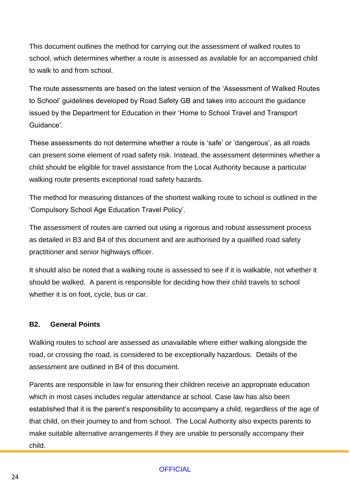This document outlines the method for carrying out the assessment of walked routes to school, which determines whether a route is assessed as available for an accompanied child to walk to and from school.

The route assessments are based on the latest version of the 'Assessment of Walked Routes to School' guidelines developed by Road Safety GB and takes into account the guidance issued by the Department for Education in their 'Home to School Travel and Transport Guidance'.

These assessments do not determine whether a route is 'safe' or 'dangerous', as all roads can present some element of road safety risk. Instead, the assessment determines whether a child should be eligible for travel assistance from the Local Authority because a particular walking route presents exceptional road safety hazards.

The method for measuring distances of the shortest walking route to school is outlined in the 'Compulsory School Age Education Travel Policy'.

The assessment of routes are carried out using a rigorous and robust assessment process as detailed in B3 and B4 of this document and are authorised by a qualified road safety practitioner and senior highways officer.

It should also be noted that a walking route is assessed to see if it is walkable, not whether it should be walked. A parent is responsible for deciding how their child travels to school whether it is on foot, cycle, bus or car.

#### **B2. General Points**

Walking routes to school are assessed as unavailable where either walking alongside the road, or crossing the road, is considered to be exceptionally hazardous. Details of the assessment are outlined in B4 of this document.

Parents are responsible in law for ensuring their children receive an appropriate education which in most cases includes regular attendance at school. Case law has also been established that it is the parent's responsibility to accompany a child, regardless of the age of that child, on their journey to and from school. The Local Authority also expects parents to make suitable alternative arrangements if they are unable to personally accompany their child.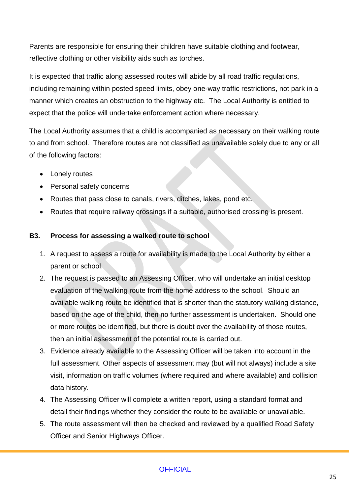Parents are responsible for ensuring their children have suitable clothing and footwear, reflective clothing or other visibility aids such as torches.

It is expected that traffic along assessed routes will abide by all road traffic regulations, including remaining within posted speed limits, obey one-way traffic restrictions, not park in a manner which creates an obstruction to the highway etc. The Local Authority is entitled to expect that the police will undertake enforcement action where necessary.

The Local Authority assumes that a child is accompanied as necessary on their walking route to and from school. Therefore routes are not classified as unavailable solely due to any or all of the following factors:

- Lonely routes
- Personal safety concerns
- Routes that pass close to canals, rivers, ditches, lakes, pond etc.
- Routes that require railway crossings if a suitable, authorised crossing is present.

#### **B3. Process for assessing a walked route to school**

- 1. A request to assess a route for availability is made to the Local Authority by either a parent or school.
- 2. The request is passed to an Assessing Officer, who will undertake an initial desktop evaluation of the walking route from the home address to the school. Should an available walking route be identified that is shorter than the statutory walking distance, based on the age of the child, then no further assessment is undertaken. Should one or more routes be identified, but there is doubt over the availability of those routes, then an initial assessment of the potential route is carried out.
- 3. Evidence already available to the Assessing Officer will be taken into account in the full assessment. Other aspects of assessment may (but will not always) include a site visit, information on traffic volumes (where required and where available) and collision data history.
- 4. The Assessing Officer will complete a written report, using a standard format and detail their findings whether they consider the route to be available or unavailable.
- 5. The route assessment will then be checked and reviewed by a qualified Road Safety Officer and Senior Highways Officer.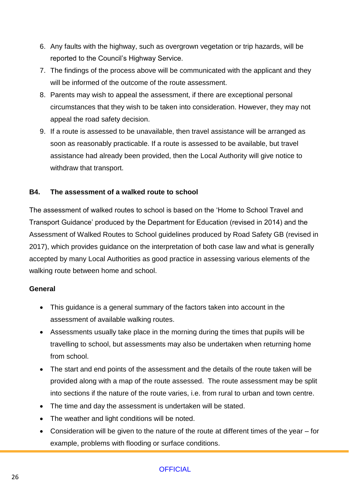- 6. Any faults with the highway, such as overgrown vegetation or trip hazards, will be reported to the Council's Highway Service.
- 7. The findings of the process above will be communicated with the applicant and they will be informed of the outcome of the route assessment.
- 8. Parents may wish to appeal the assessment, if there are exceptional personal circumstances that they wish to be taken into consideration. However, they may not appeal the road safety decision.
- 9. If a route is assessed to be unavailable, then travel assistance will be arranged as soon as reasonably practicable. If a route is assessed to be available, but travel assistance had already been provided, then the Local Authority will give notice to withdraw that transport.

#### **B4. The assessment of a walked route to school**

The assessment of walked routes to school is based on the 'Home to School Travel and Transport Guidance' produced by the Department for Education (revised in 2014) and the Assessment of Walked Routes to School guidelines produced by Road Safety GB (revised in 2017), which provides guidance on the interpretation of both case law and what is generally accepted by many Local Authorities as good practice in assessing various elements of the walking route between home and school.

#### **General**

- This guidance is a general summary of the factors taken into account in the assessment of available walking routes.
- Assessments usually take place in the morning during the times that pupils will be travelling to school, but assessments may also be undertaken when returning home from school.
- The start and end points of the assessment and the details of the route taken will be provided along with a map of the route assessed. The route assessment may be split into sections if the nature of the route varies, i.e. from rural to urban and town centre.
- The time and day the assessment is undertaken will be stated.
- The weather and light conditions will be noted.
- Consideration will be given to the nature of the route at different times of the year for example, problems with flooding or surface conditions.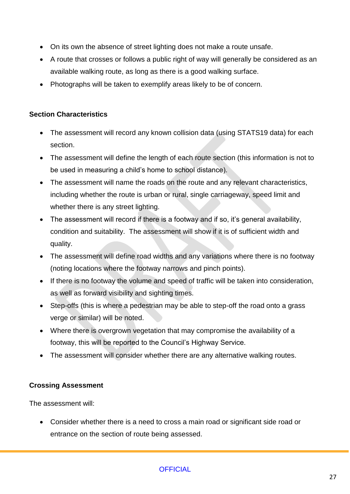- On its own the absence of street lighting does not make a route unsafe.
- A route that crosses or follows a public right of way will generally be considered as an available walking route, as long as there is a good walking surface.
- Photographs will be taken to exemplify areas likely to be of concern.

#### **Section Characteristics**

- The assessment will record any known collision data (using STATS19 data) for each section.
- The assessment will define the length of each route section (this information is not to be used in measuring a child's home to school distance).
- The assessment will name the roads on the route and any relevant characteristics, including whether the route is urban or rural, single carriageway, speed limit and whether there is any street lighting.
- The assessment will record if there is a footway and if so, it's general availability, condition and suitability. The assessment will show if it is of sufficient width and quality.
- The assessment will define road widths and any variations where there is no footway (noting locations where the footway narrows and pinch points).
- If there is no footway the volume and speed of traffic will be taken into consideration, as well as forward visibility and sighting times.
- Step-offs (this is where a pedestrian may be able to step-off the road onto a grass verge or similar) will be noted.
- Where there is overgrown vegetation that may compromise the availability of a footway, this will be reported to the Council's Highway Service.
- The assessment will consider whether there are any alternative walking routes.

#### **Crossing Assessment**

The assessment will:

 Consider whether there is a need to cross a main road or significant side road or entrance on the section of route being assessed.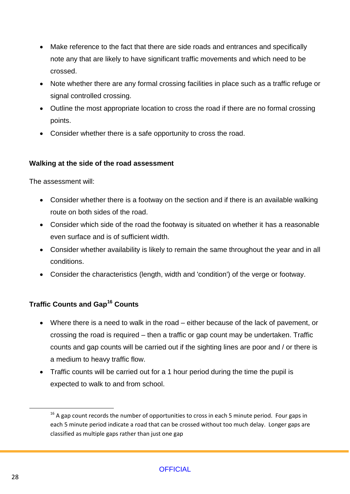- Make reference to the fact that there are side roads and entrances and specifically note any that are likely to have significant traffic movements and which need to be crossed.
- Note whether there are any formal crossing facilities in place such as a traffic refuge or signal controlled crossing.
- Outline the most appropriate location to cross the road if there are no formal crossing points.
- Consider whether there is a safe opportunity to cross the road.

#### **Walking at the side of the road assessment**

The assessment will:

- Consider whether there is a footway on the section and if there is an available walking route on both sides of the road.
- Consider which side of the road the footway is situated on whether it has a reasonable even surface and is of sufficient width.
- Consider whether availability is likely to remain the same throughout the year and in all conditions.
- Consider the characteristics (length, width and 'condition') of the verge or footway.

#### **Traffic Counts and Gap<sup>16</sup> Counts**

- Where there is a need to walk in the road either because of the lack of pavement, or crossing the road is required – then a traffic or gap count may be undertaken. Traffic counts and gap counts will be carried out if the sighting lines are poor and / or there is a medium to heavy traffic flow.
- Traffic counts will be carried out for a 1 hour period during the time the pupil is expected to walk to and from school.

 $\overline{a}$ 

 $16$  A gap count records the number of opportunities to cross in each 5 minute period. Four gaps in each 5 minute period indicate a road that can be crossed without too much delay. Longer gaps are classified as multiple gaps rather than just one gap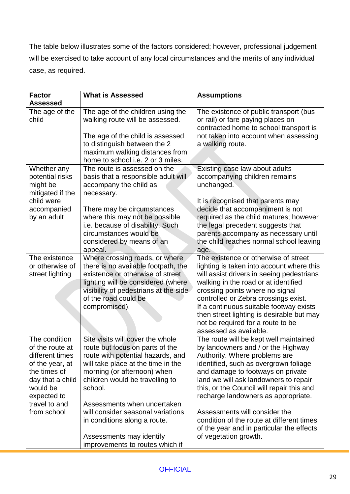The table below illustrates some of the factors considered; however, professional judgement will be exercised to take account of any local circumstances and the merits of any individual case, as required.

| <b>Factor</b>                    | <b>What is Assessed</b>                                                                            | <b>Assumptions</b>                                                                                                    |
|----------------------------------|----------------------------------------------------------------------------------------------------|-----------------------------------------------------------------------------------------------------------------------|
| <b>Assessed</b>                  |                                                                                                    |                                                                                                                       |
| The age of the<br>child          | The age of the children using the<br>walking route will be assessed.                               | The existence of public transport (bus<br>or rail) or fare paying places on<br>contracted home to school transport is |
|                                  | The age of the child is assessed<br>to distinguish between the 2<br>maximum walking distances from | not taken into account when assessing<br>a walking route.                                                             |
|                                  | home to school i.e. 2 or 3 miles.                                                                  |                                                                                                                       |
| Whether any                      | The route is assessed on the                                                                       | Existing case law about adults                                                                                        |
| potential risks                  | basis that a responsible adult will                                                                | accompanying children remains                                                                                         |
| might be                         | accompany the child as                                                                             | unchanged.                                                                                                            |
| mitigated if the<br>child were   | necessary.                                                                                         | It is recognised that parents may                                                                                     |
| accompanied                      | There may be circumstances                                                                         | decide that accompaniment is not                                                                                      |
| by an adult                      | where this may not be possible                                                                     | required as the child matures; however                                                                                |
|                                  | i.e. because of disability. Such                                                                   | the legal precedent suggests that                                                                                     |
|                                  | circumstances would be                                                                             | parents accompany as necessary until                                                                                  |
|                                  | considered by means of an                                                                          | the child reaches normal school leaving                                                                               |
|                                  | appeal.                                                                                            | age.                                                                                                                  |
| The existence                    | Where crossing roads, or where                                                                     | The existence or otherwise of street                                                                                  |
| or otherwise of                  | there is no available footpath, the<br>existence or otherwise of street                            | lighting is taken into account where this                                                                             |
| street lighting                  | lighting will be considered (where                                                                 | will assist drivers in seeing pedestrians<br>walking in the road or at identified                                     |
|                                  | visibility of pedestrians at the side                                                              | crossing points where no signal                                                                                       |
|                                  | of the road could be                                                                               | controlled or Zebra crossings exist.                                                                                  |
|                                  | compromised).                                                                                      | If a continuous suitable footway exists                                                                               |
|                                  |                                                                                                    | then street lighting is desirable but may                                                                             |
|                                  |                                                                                                    | not be required for a route to be                                                                                     |
|                                  |                                                                                                    | assessed as available.                                                                                                |
| The condition<br>of the route at | Site visits will cover the whole                                                                   | The route will be kept well maintained                                                                                |
| different times                  | route but focus on parts of the<br>route with potential hazards, and                               | by landowners and / or the Highway<br>Authority. Where problems are                                                   |
| of the year, at                  | will take place at the time in the                                                                 | identified, such as overgrown foliage                                                                                 |
| the times of                     | morning (or afternoon) when                                                                        | and damage to footways on private                                                                                     |
| day that a child                 | children would be travelling to                                                                    | land we will ask landowners to repair                                                                                 |
| would be                         | school.                                                                                            | this, or the Council will repair this and                                                                             |
| expected to                      |                                                                                                    | recharge landowners as appropriate.                                                                                   |
| travel to and                    | Assessments when undertaken                                                                        |                                                                                                                       |
| from school                      | will consider seasonal variations                                                                  | Assessments will consider the                                                                                         |
|                                  | in conditions along a route.                                                                       | condition of the route at different times                                                                             |
|                                  | Assessments may identify                                                                           | of the year and in particular the effects<br>of vegetation growth.                                                    |
|                                  | improvements to routes which if                                                                    |                                                                                                                       |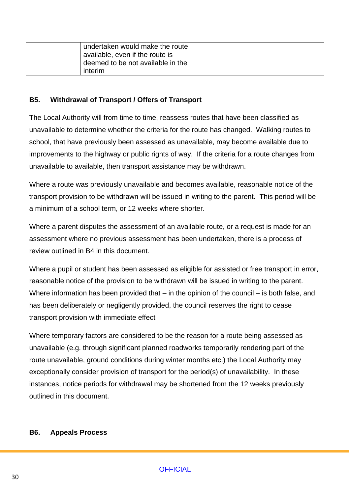| undertaken would make the route   |  |
|-----------------------------------|--|
| available, even if the route is   |  |
| deemed to be not available in the |  |
| interim                           |  |

#### **B5. Withdrawal of Transport / Offers of Transport**

The Local Authority will from time to time, reassess routes that have been classified as unavailable to determine whether the criteria for the route has changed. Walking routes to school, that have previously been assessed as unavailable, may become available due to improvements to the highway or public rights of way. If the criteria for a route changes from unavailable to available, then transport assistance may be withdrawn.

Where a route was previously unavailable and becomes available, reasonable notice of the transport provision to be withdrawn will be issued in writing to the parent. This period will be a minimum of a school term, or 12 weeks where shorter.

Where a parent disputes the assessment of an available route, or a request is made for an assessment where no previous assessment has been undertaken, there is a process of review outlined in B4 in this document.

Where a pupil or student has been assessed as eligible for assisted or free transport in error, reasonable notice of the provision to be withdrawn will be issued in writing to the parent. Where information has been provided that – in the opinion of the council – is both false, and has been deliberately or negligently provided, the council reserves the right to cease transport provision with immediate effect

Where temporary factors are considered to be the reason for a route being assessed as unavailable (e.g. through significant planned roadworks temporarily rendering part of the route unavailable, ground conditions during winter months etc.) the Local Authority may exceptionally consider provision of transport for the period(s) of unavailability. In these instances, notice periods for withdrawal may be shortened from the 12 weeks previously outlined in this document.

#### **B6. Appeals Process**